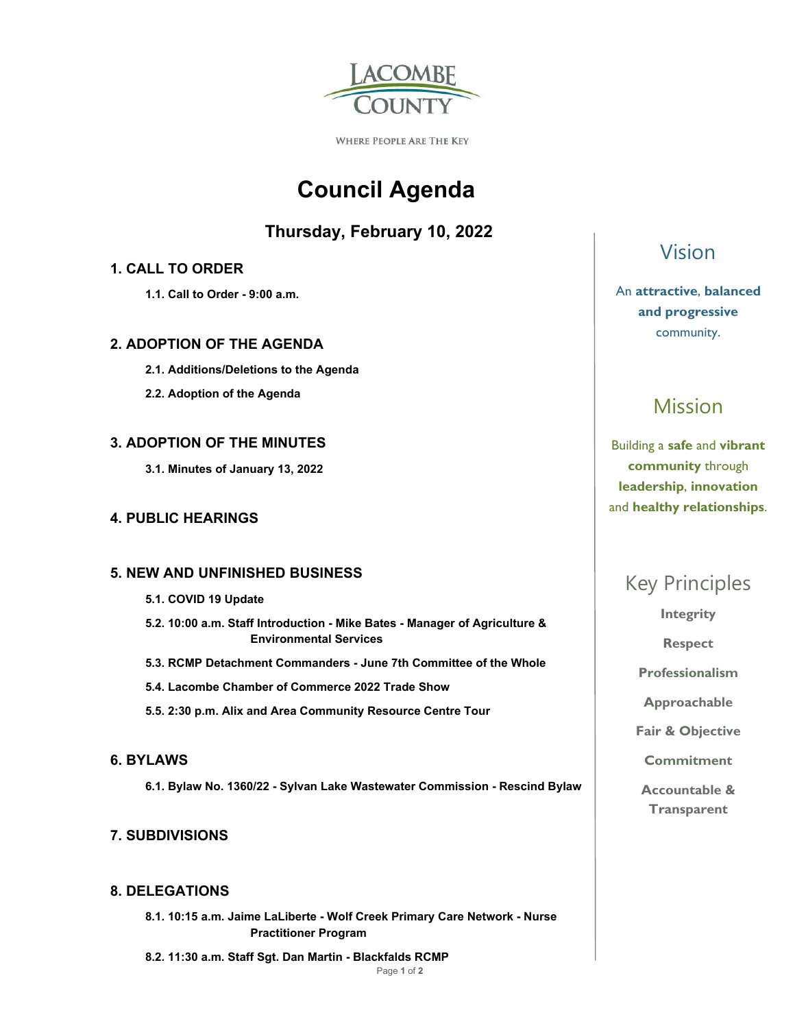

**WHERE PEOPLE ARE THE KEY** 

# **Council Agenda**

### **Thursday, February 10, 2022**

### **1. CALL TO ORDER**

 **1.1. Call to Order - 9:00 a.m.** 

### **2. ADOPTION OF THE AGENDA**

- **2.1. Additions/Deletions to the Agenda**
- **2.2. Adoption of the Agenda**

### **3. ADOPTION OF THE MINUTES**

 **3.1. Minutes of January 13, 2022** 

### **4. PUBLIC HEARINGS**

### **5. NEW AND UNFINISHED BUSINESS**

- **5.1. COVID 19 Update**
- **5.2. 10:00 a.m. Staff Introduction Mike Bates Manager of Agriculture & Environmental Services**
- **5.3. RCMP Detachment Commanders June 7th Committee of the Whole**
- **5.4. Lacombe Chamber of Commerce 2022 Trade Show**
- **5.5. 2:30 p.m. Alix and Area Community Resource Centre Tour**

### **6. BYLAWS**

 **6.1. Bylaw No. 1360/22 - Sylvan Lake Wastewater Commission - Rescind Bylaw** 

### **7. SUBDIVISIONS**

### **8. DELEGATIONS**

 **8.1. 10:15 a.m. Jaime LaLiberte - Wolf Creek Primary Care Network - Nurse Practitioner Program** 

 **8.2. 11:30 a.m. Staff Sgt. Dan Martin - Blackfalds RCMP** 

# Vision

### An **attractive**, **balanced and progressive**  community.

# Mission

Building a **safe** and **vibrant community** through **leadership**, **innovation**  and **healthy relationships**.

# Key Principles

**Integrity** 

**Respect** 

**Professionalism** 

**Approachable** 

**Fair & Objective** 

**Commitment** 

**Accountable & Transparent**